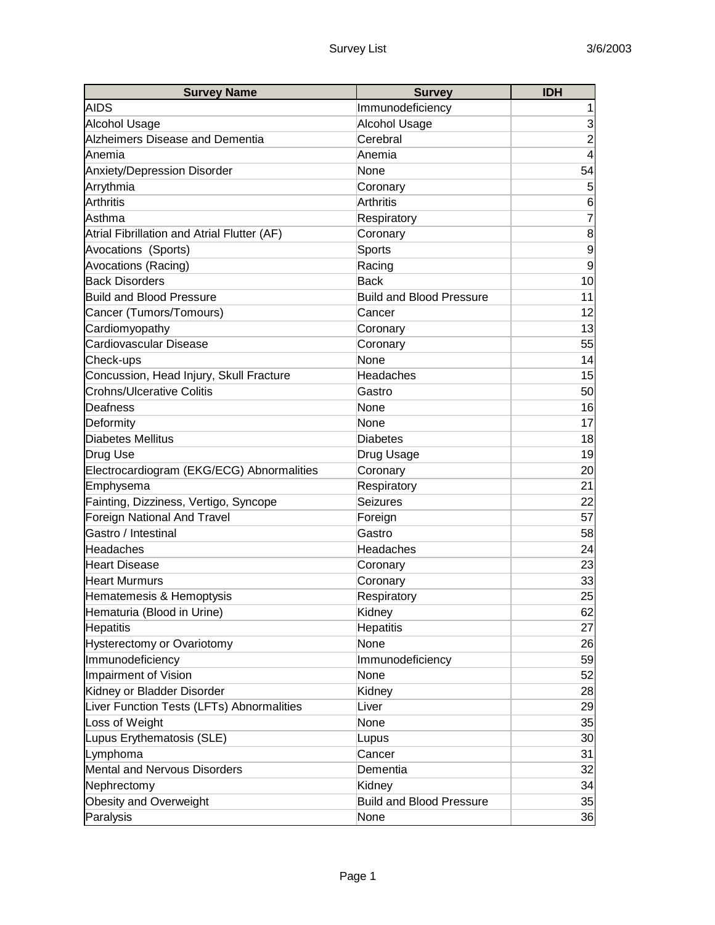| <b>Survey Name</b>                          | <b>Survey</b>                   | <b>IDH</b>       |
|---------------------------------------------|---------------------------------|------------------|
| <b>AIDS</b>                                 | Immunodeficiency                | 1                |
| <b>Alcohol Usage</b>                        | <b>Alcohol Usage</b>            | 3                |
| <b>Alzheimers Disease and Dementia</b>      | Cerebral                        | $\overline{2}$   |
| Anemia                                      | Anemia                          | 4                |
| Anxiety/Depression Disorder                 | None                            | 54               |
| Arrythmia                                   | Coronary                        | $\sqrt{5}$       |
| <b>Arthritis</b>                            | <b>Arthritis</b>                | 6                |
| Asthma                                      | Respiratory                     | $\overline{7}$   |
| Atrial Fibrillation and Atrial Flutter (AF) | Coronary                        | 8                |
| Avocations (Sports)                         | Sports                          | $\boldsymbol{9}$ |
| Avocations (Racing)                         | Racing                          | $\overline{9}$   |
| <b>Back Disorders</b>                       | <b>Back</b>                     | 10               |
| <b>Build and Blood Pressure</b>             | <b>Build and Blood Pressure</b> | 11               |
| Cancer (Tumors/Tomours)                     | Cancer                          | 12               |
| Cardiomyopathy                              | Coronary                        | 13               |
| Cardiovascular Disease                      | Coronary                        | 55               |
| Check-ups                                   | None                            | 14               |
| Concussion, Head Injury, Skull Fracture     | Headaches                       | 15               |
| <b>Crohns/Ulcerative Colitis</b>            | Gastro                          | 50               |
| Deafness                                    | None                            | 16               |
| Deformity                                   | None                            | 17               |
| <b>Diabetes Mellitus</b>                    | <b>Diabetes</b>                 | 18               |
| Drug Use                                    | Drug Usage                      | 19               |
| Electrocardiogram (EKG/ECG) Abnormalities   | Coronary                        | 20               |
| Emphysema                                   | Respiratory                     | 21               |
| Fainting, Dizziness, Vertigo, Syncope       | <b>Seizures</b>                 | 22               |
| Foreign National And Travel                 | Foreign                         | 57               |
| Gastro / Intestinal                         | Gastro                          | 58               |
| Headaches                                   | Headaches                       | 24               |
| <b>Heart Disease</b>                        | Coronary                        | 23               |
| <b>Heart Murmurs</b>                        | Coronary                        | 33               |
| Hematemesis & Hemoptysis                    | Respiratory                     | 25               |
| Hematuria (Blood in Urine)                  | Kidney                          | 62               |
| <b>Hepatitis</b>                            | <b>Hepatitis</b>                | 27               |
| Hysterectomy or Ovariotomy                  | None                            | 26               |
| Immunodeficiency                            | Immunodeficiency                | 59               |
| Impairment of Vision                        | None                            | 52               |
| Kidney or Bladder Disorder                  | Kidney                          | 28               |
| Liver Function Tests (LFTs) Abnormalities   | Liver                           | 29               |
| Loss of Weight                              | None                            | 35               |
| Lupus Erythematosis (SLE)                   | Lupus                           | 30               |
| Lymphoma                                    | Cancer                          | 31               |
| <b>Mental and Nervous Disorders</b>         | Dementia                        | 32               |
| Nephrectomy                                 | Kidney                          | 34               |
| Obesity and Overweight                      | <b>Build and Blood Pressure</b> | 35               |
| Paralysis                                   | None                            | 36               |